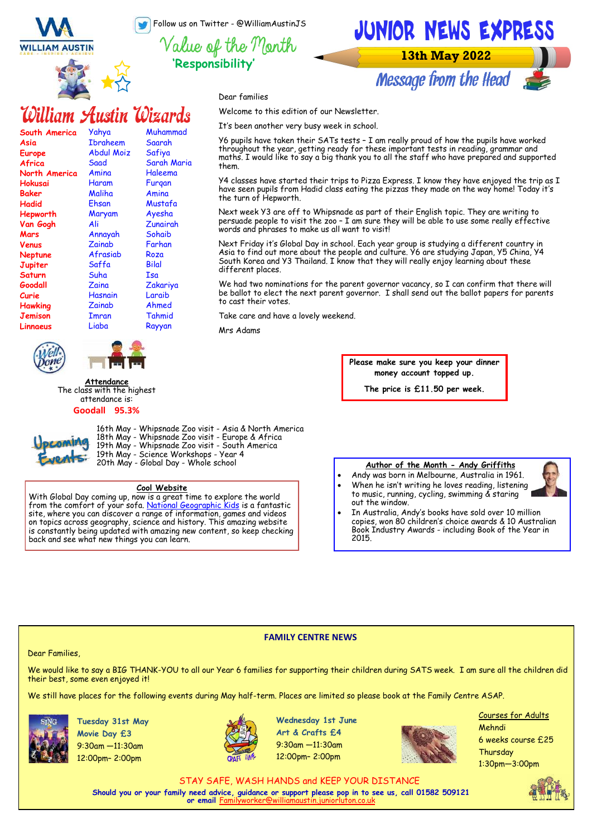Follow us on Twitter - @WilliamAustinJS

**'Responsibility'**

**WILLIAM AUSTIN** 



## William Austin Wizards

| South America        | Yahya      | Muhammad    |
|----------------------|------------|-------------|
| Asia                 | Ibraheem   | Saarah      |
| Europe               | Abdul Moiz | Safiya      |
| Africa               | Saad       | Sarah Maria |
| <b>North America</b> | Amina      | Haleema     |
| Hokusai              | Haram      | Furgan      |
| <b>Baker</b>         | Maliha     | Amina       |
| Hadid                | Ehsan      | Mustafa     |
| Hepworth             | Maryam     | Ayesha      |
| Van Gogh             | Ali        | Zunairah    |
| Mars                 | Annayah    | Sohaib      |
| Venus                | Zainab     | Farhan      |
| <b>Neptune</b>       | Afrasiab   | Roza        |
| Jupiter              | Saffa      | Bilal       |
| Saturn               | Suha       | Isa         |
| Goodall              | Zaina      | Zakariya    |
| Curie                | Hasnain    | Laraib      |
| <b>Hawking</b>       | Zainab     | Ahmed       |
| Jemison              | Imran      | Tahmid      |
| Linnaeus             | Liaba      | Rayyan      |
|                      |            |             |





**Attendance** The class with the highest attendance is:

### **Goodall 95.3%**



16th May - Whipsnade Zoo visit - Asia & North America 18th May - Whipsnade Zoo visit - Europe & Africa 19th May - Whipsnade Zoo visit - South America 19th May - Science Workshops - Year 4 20th May - Global Day - Whole school

### **Cool Website**

With Global Day coming up, now is a great time to explore the world from the comfort of your sofa. [National Geographic Kids](https://www.natgeokids.com/ie/) is a fantastic site, where you can discover a range of information, games and videos on topics across geography, science and history. This amazing website is constantly being updated with amazing new content, so keep checking back and see what new things you can learn.

**Author of the Month - Andy Griffiths**

- Andy was born in Melbourne, Australia in 1961. • When he isn't writing he loves reading, listening to music, running, cycling, swimming & staring
- In Australia, Andy's books have sold over 10 million copies, won 80 children's choice awards & 10 Australian Book Industry Awards - including Book of the Year in 2015.

### **FAMILY CENTRE NEWS**

### Dear Families,

We would like to say a BIG THANK-YOU to all our Year 6 families for supporting their children during SATS week. I am sure all the children did their best, some even enjoyed it!

We still have places for the following events during May half-term. Places are limited so please book at the Family Centre ASAP.



**Tuesday 31st May Movie Day £3**  9:30am —11:30am 12:00pm– 2:00pm



**Wednesday 1st June Art & Crafts £4** 9:30am —11:30am 12:00pm– 2:00pm



Courses for Adults Mehndi 6 weeks course £25 **Thursdav** 1:30pm—3:00pm

STAY SAFE, WASH HANDS and KEEP YOUR DISTANCE **Should you or your family need advice, guidance or support please pop in to see us, call 01582 509121 or email** F



# JUNIOR NEWS EXPRESS

**13th May 2022** 



Dear families

Welcome to this edition of our Newsletter.

It's been another very busy week in school.

Y6 pupils have taken their SATs tests – I am really proud of how the pupils have worked throughout the year, getting ready for these important tests in reading, grammar and maths. I would like to say a big thank you to all the staff who have prepared and supported them.

Y4 classes have started their trips to Pizza Express. I know they have enjoyed the trip as I have seen pupils from Hadid class eating the pizzas they made on the way home! Today it's the turn of Hepworth.

Next week Y3 are off to Whipsnade as part of their English topic. They are writing to persuade people to visit the zoo – I am sure they will be able to use some really effective words and phrases to make us all want to visit!

Next Friday it's Global Day in school. Each year group is studying a different country in Asia to find out more about the people and culture. Y6 are studying Japan, Y5 China, Y4 South Korea and Y3 Thailand. I know that they will really enjoy learning about these different places.

We had two nominations for the parent governor vacancy, so I can confirm that there will be ballot to elect the next parent governor. I shall send out the ballot papers for parents to cast their votes.

Take care and have a lovely weekend.

Mrs Adams

**Please make sure you keep your dinner money account topped up.** 

**The price is £11.50 per week.**

### out the window.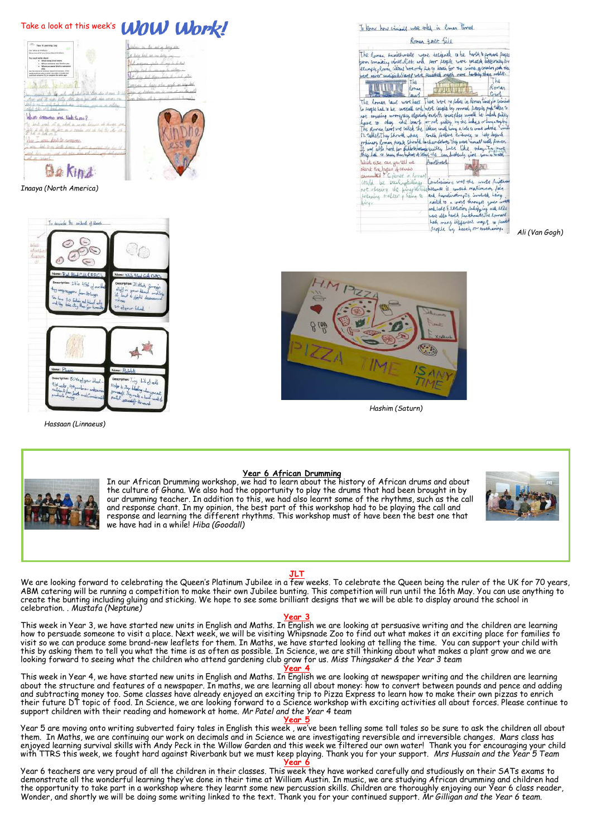| Take a look at this week's <b>WOW Work!</b>                                                                                                                                                                                                                                                                                                                                                                                                                                                                                                                           | To know how winight were toled in Roman Firmer                                                                                                                                                                                                                                                                                                                                                                                                                                                                                                                                                                                                                                                                                                                                                                                                                                                                                                                                                                                                                                                                                                                       |
|-----------------------------------------------------------------------------------------------------------------------------------------------------------------------------------------------------------------------------------------------------------------------------------------------------------------------------------------------------------------------------------------------------------------------------------------------------------------------------------------------------------------------------------------------------------------------|----------------------------------------------------------------------------------------------------------------------------------------------------------------------------------------------------------------------------------------------------------------------------------------------------------------------------------------------------------------------------------------------------------------------------------------------------------------------------------------------------------------------------------------------------------------------------------------------------------------------------------------------------------------------------------------------------------------------------------------------------------------------------------------------------------------------------------------------------------------------------------------------------------------------------------------------------------------------------------------------------------------------------------------------------------------------------------------------------------------------------------------------------------------------|
| - <sup>22</sup> Yes Lewis Lis<br>literance in the art or being the                                                                                                                                                                                                                                                                                                                                                                                                                                                                                                    | Roman take file                                                                                                                                                                                                                                                                                                                                                                                                                                                                                                                                                                                                                                                                                                                                                                                                                                                                                                                                                                                                                                                                                                                                                      |
| Our Value & Hindreys<br>those ties what you know street throbes<br>A has join in on iron<br>a could write show<br>. What here tind means<br>When senators was likely to you.<br>. When you were MAD to sprague<br>andy structures consider a potential, three political the chronic colors<br>Lots And Mines<br>woon is here the even or the to<br>let also who wish man-<br>Which someone was high to me?<br>bick was the ground a work because of divisi on<br>for the department of the field of the state of<br>M. A. Life on T.<br>ane had to company<br>Be Kind | The Roman Aunishments were designed a be harsh to province fearly<br>from committing world. Rich and four people were beaded disgeratifor<br>elample, Roman waters horeorly fat to death for the crime optichon, with the<br>bere never musical Stanze were purished much more harthly than robby.<br>(he<br>T <sub>h</sub> <sub>8</sub><br>Romer<br>Kethan<br>Court<br>The Roman laws workhast There here no fulice in Roman time for initial<br>So people had to be carefull and hore coughs by normal people and taken to<br>not anywhay wrongshee objectively low time counts they would be beled pulley<br>have to obey the leart or not quilty by the lukes or lucy say by<br>he Roman lawfund called the ideas und long a late to could asked in himila<br>In table of They Showed what I could possed evidence to help defend<br>orbinary Roman feeple Should backeonsolver. They were incent with fronte.<br>I was able hard for didleren acame quilty Latt like they. In count<br>they had a been then bythot at blood the can diedenly give you a trath<br>Ruskhoed<br>What else can you tell we<br>about the buper of course<br>caunted? Crimer in Roman |
| Inaaya (North America)                                                                                                                                                                                                                                                                                                                                                                                                                                                                                                                                                | Conditioning was the worse pershand<br>could be sachingkilling,<br>not obeging the pingotechilisterance is consed matimum pain<br>and humilination, it involved being<br>following tracter , lieune to<br>neited to a cross through your woll                                                                                                                                                                                                                                                                                                                                                                                                                                                                                                                                                                                                                                                                                                                                                                                                                                                                                                                        |
| To describe by estanding Head.                                                                                                                                                                                                                                                                                                                                                                                                                                                                                                                                        | <b>LENEX</b><br>ard help Execution polipping and exile<br>were also hersh surishments. The Romard<br>had many different way 1 to finish                                                                                                                                                                                                                                                                                                                                                                                                                                                                                                                                                                                                                                                                                                                                                                                                                                                                                                                                                                                                                              |
|                                                                                                                                                                                                                                                                                                                                                                                                                                                                                                                                                                       | seople by Leach or toochange.<br>Ali (Van Gogh)                                                                                                                                                                                                                                                                                                                                                                                                                                                                                                                                                                                                                                                                                                                                                                                                                                                                                                                                                                                                                                                                                                                      |



*Hashim (Saturn)*



 *Hassaan (Linnaeus)*

bite of call

elpe la 3 ũ.

### **Year 6 African Drumming**

In our African Drumming workshop, we had to learn about the history of African drums and about the culture of Ghana. We also had the opportunity to play the drums that had been brought in by our drumming teacher. In addition to this, we had also learnt some of the rhythms, such as the call and response chant. In my opinion, the best part of this workshop had to be playing the call and response and learning the different rhythms. This workshop must of have been the best one that we have had in a while! *Hiba (Goodall)*



### **JLT**

We are looking forward to celebrating the Queen's Platinum Jubilee in a few weeks. To celebrate the Queen being the ruler of the UK for 70 years, ABM catering will be running a competition to make their own Jubilee bunting. This competition will run until the 16th May. You can use anything to create the bunting including gluing and sticking. We hope to see some brilliant designs that we will be able to display around the school in celebration. . *Mustafa (Neptune)*

### **Year 3**

This week in Year 3, we have started new units in English and Maths. In English we are looking at persuasive writing and the children are learning how to persuade someone to visit a place. Next week, we will be visiting Whipsnade Zoo to find out what makes it an exciting place for families to visit so we can produce some brand-new leaflets for them. In Maths, we have started looking at telling the time. You can support your child with this by asking them to tell you what the time is as often as possible. In Science, we are still thinking about what makes a plant grow and we are looking forward to seeing what the children who attend gardening club grow for us. *Miss Thingsaker & the Year 3 team*

**Year 4**

This week in Year 4, we have started new units in English and Maths. In English we are looking at newspaper writing and the children are learning about the structure and features of a newspaper. In maths, we are learning all about money: how to convert between pounds and pence and adding and subtracting money too. Some classes have already enjoyed an exciting trip to Pizza Express to learn how to make their own pizzas to enrich their future DT topic of food. In Science, we are looking forward to a Science workshop with exciting activities all about forces. Please continue to support children with their reading and homework at home. *Mr Patel and the Year 4 team*

### **Year 5**

Year 5 are moving onto writing subverted fairy tales in English this week, we've been telling some tall tales so be sure to ask the children all about them. In Maths, we are continuing our work on decimals and in Science we are investigating reversible and irreversible changes. Mars class has enjoyed learning survival skills with Andy Peck in the Willow Garden and this week we filtered our own water! Thank you for encouraging your child with TTRS this week, we fought hard against Riverbank but we must keep playing. Thank you for your support. *Mrs Hussain and the Year 5 Team*

#### **Year 6**

Year 6 teachers are very proud of all the children in their classes. This week they have worked carefully and studiously on their SATs exams to demonstrate all the wonderful learning they've done in their time at William Austin. In music, we are studying African drumming and children had the opportunity to take part in a workshop where they learnt some new percussion skills. Children are thoroughly enjoying our Year 6 class reader, Wonder, and shortly we will be doing some writing linked to the text. Thank you for your continued support. *Mr Gilligan and the Year 6 team.*